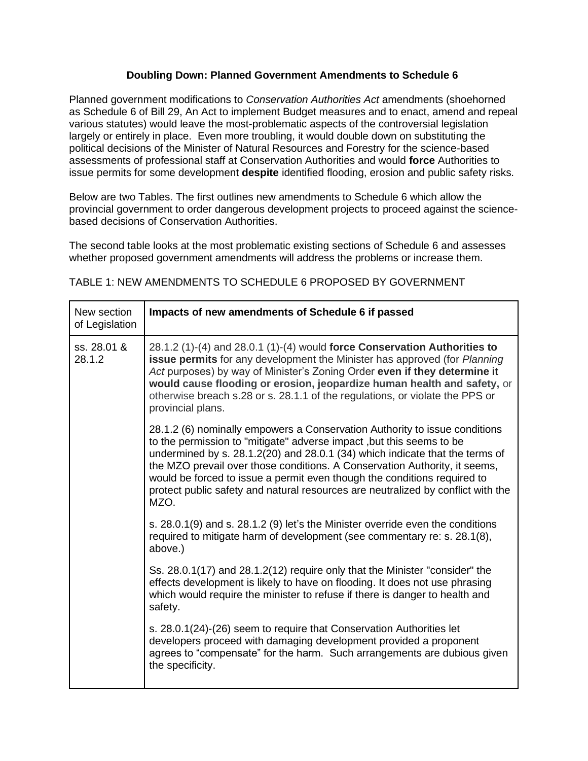## **Doubling Down: Planned Government Amendments to Schedule 6**

Planned government modifications to *Conservation Authorities Act* amendments (shoehorned as Schedule 6 of Bill 29, An Act to implement Budget measures and to enact, amend and repeal various statutes) would leave the most-problematic aspects of the controversial legislation largely or entirely in place. Even more troubling, it would double down on substituting the political decisions of the Minister of Natural Resources and Forestry for the science-based assessments of professional staff at Conservation Authorities and would **force** Authorities to issue permits for some development **despite** identified flooding, erosion and public safety risks.

Below are two Tables. The first outlines new amendments to Schedule 6 which allow the provincial government to order dangerous development projects to proceed against the sciencebased decisions of Conservation Authorities.

The second table looks at the most problematic existing sections of Schedule 6 and assesses whether proposed government amendments will address the problems or increase them.

| New section<br>of Legislation | Impacts of new amendments of Schedule 6 if passed                                                                                                                                                                                                                                                                                                                                                                                                                                        |
|-------------------------------|------------------------------------------------------------------------------------------------------------------------------------------------------------------------------------------------------------------------------------------------------------------------------------------------------------------------------------------------------------------------------------------------------------------------------------------------------------------------------------------|
| ss. 28.01 &<br>28.1.2         | 28.1.2 (1)-(4) and 28.0.1 (1)-(4) would force Conservation Authorities to<br>issue permits for any development the Minister has approved (for Planning<br>Act purposes) by way of Minister's Zoning Order even if they determine it<br>would cause flooding or erosion, jeopardize human health and safety, or<br>otherwise breach s.28 or s. 28.1.1 of the regulations, or violate the PPS or<br>provincial plans.                                                                      |
|                               | 28.1.2 (6) nominally empowers a Conservation Authority to issue conditions<br>to the permission to "mitigate" adverse impact, but this seems to be<br>undermined by s. 28.1.2(20) and 28.0.1 (34) which indicate that the terms of<br>the MZO prevail over those conditions. A Conservation Authority, it seems,<br>would be forced to issue a permit even though the conditions required to<br>protect public safety and natural resources are neutralized by conflict with the<br>MZO. |
|                               | s. 28.0.1(9) and s. 28.1.2 (9) let's the Minister override even the conditions<br>required to mitigate harm of development (see commentary re: s. 28.1(8),<br>above.)                                                                                                                                                                                                                                                                                                                    |
|                               | Ss. 28.0.1(17) and 28.1.2(12) require only that the Minister "consider" the<br>effects development is likely to have on flooding. It does not use phrasing<br>which would require the minister to refuse if there is danger to health and<br>safety.                                                                                                                                                                                                                                     |
|                               | s. 28.0.1(24)-(26) seem to require that Conservation Authorities let<br>developers proceed with damaging development provided a proponent<br>agrees to "compensate" for the harm. Such arrangements are dubious given<br>the specificity.                                                                                                                                                                                                                                                |

## TABLE 1: NEW AMENDMENTS TO SCHEDULE 6 PROPOSED BY GOVERNMENT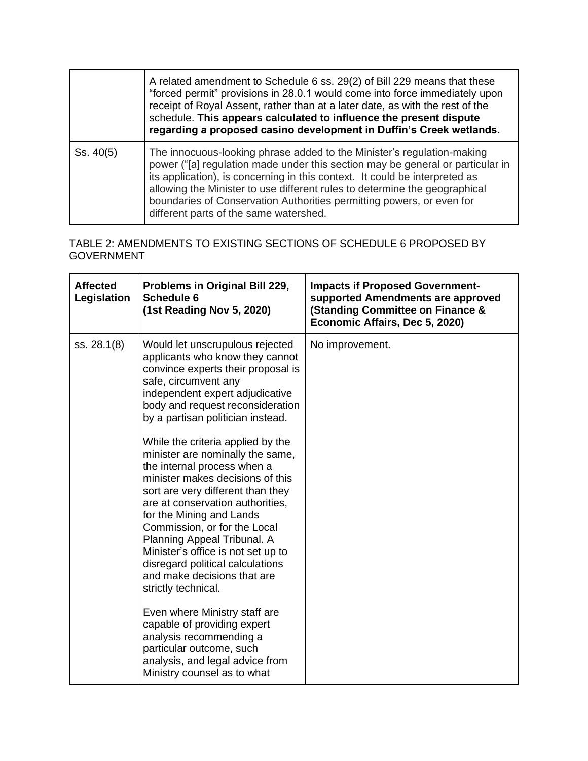|           | A related amendment to Schedule 6 ss. 29(2) of Bill 229 means that these<br>"forced permit" provisions in 28.0.1 would come into force immediately upon<br>receipt of Royal Assent, rather than at a later date, as with the rest of the<br>schedule. This appears calculated to influence the present dispute<br>regarding a proposed casino development in Duffin's Creek wetlands.                                                    |
|-----------|------------------------------------------------------------------------------------------------------------------------------------------------------------------------------------------------------------------------------------------------------------------------------------------------------------------------------------------------------------------------------------------------------------------------------------------|
| Ss. 40(5) | The innocuous-looking phrase added to the Minister's regulation-making<br>power ("[a] regulation made under this section may be general or particular in<br>its application), is concerning in this context. It could be interpreted as<br>allowing the Minister to use different rules to determine the geographical<br>boundaries of Conservation Authorities permitting powers, or even for<br>different parts of the same watershed. |

## TABLE 2: AMENDMENTS TO EXISTING SECTIONS OF SCHEDULE 6 PROPOSED BY GOVERNMENT

| <b>Affected</b><br>Legislation | Problems in Original Bill 229,<br><b>Schedule 6</b><br>(1st Reading Nov 5, 2020)                                                                                                                                                                                                                                                                                                                                                                                                                                                                                                                                                                                                                                                                                                                                                                                                      | <b>Impacts if Proposed Government-</b><br>supported Amendments are approved<br><b>(Standing Committee on Finance &amp;</b><br>Economic Affairs, Dec 5, 2020) |
|--------------------------------|---------------------------------------------------------------------------------------------------------------------------------------------------------------------------------------------------------------------------------------------------------------------------------------------------------------------------------------------------------------------------------------------------------------------------------------------------------------------------------------------------------------------------------------------------------------------------------------------------------------------------------------------------------------------------------------------------------------------------------------------------------------------------------------------------------------------------------------------------------------------------------------|--------------------------------------------------------------------------------------------------------------------------------------------------------------|
| ss. 28.1(8)                    | Would let unscrupulous rejected<br>applicants who know they cannot<br>convince experts their proposal is<br>safe, circumvent any<br>independent expert adjudicative<br>body and request reconsideration<br>by a partisan politician instead.<br>While the criteria applied by the<br>minister are nominally the same,<br>the internal process when a<br>minister makes decisions of this<br>sort are very different than they<br>are at conservation authorities,<br>for the Mining and Lands<br>Commission, or for the Local<br>Planning Appeal Tribunal. A<br>Minister's office is not set up to<br>disregard political calculations<br>and make decisions that are<br>strictly technical.<br>Even where Ministry staff are<br>capable of providing expert<br>analysis recommending a<br>particular outcome, such<br>analysis, and legal advice from<br>Ministry counsel as to what | No improvement.                                                                                                                                              |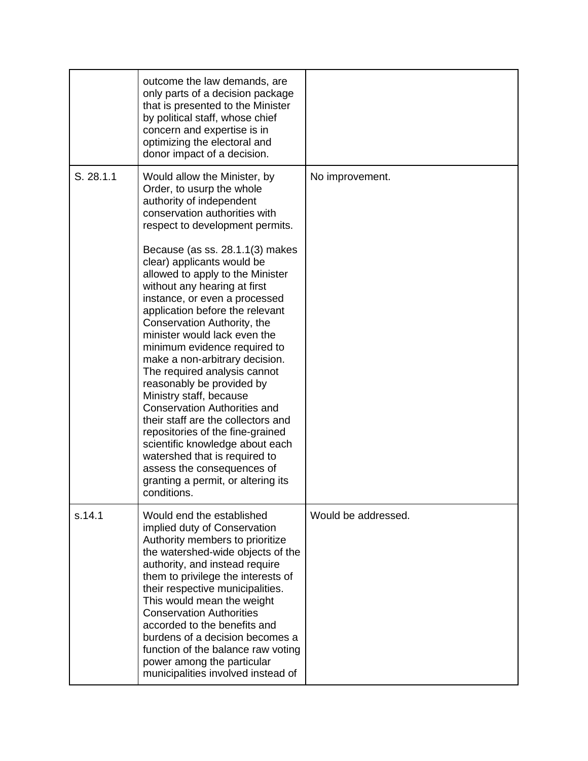|           | outcome the law demands, are<br>only parts of a decision package<br>that is presented to the Minister<br>by political staff, whose chief<br>concern and expertise is in<br>optimizing the electoral and<br>donor impact of a decision.                                                                                                                                                                                                                                                                                                                                                                                                                                                                                                                                                                                                                              |                     |
|-----------|---------------------------------------------------------------------------------------------------------------------------------------------------------------------------------------------------------------------------------------------------------------------------------------------------------------------------------------------------------------------------------------------------------------------------------------------------------------------------------------------------------------------------------------------------------------------------------------------------------------------------------------------------------------------------------------------------------------------------------------------------------------------------------------------------------------------------------------------------------------------|---------------------|
| S. 28.1.1 | Would allow the Minister, by<br>Order, to usurp the whole<br>authority of independent<br>conservation authorities with<br>respect to development permits.<br>Because (as ss. 28.1.1(3) makes<br>clear) applicants would be<br>allowed to apply to the Minister<br>without any hearing at first<br>instance, or even a processed<br>application before the relevant<br>Conservation Authority, the<br>minister would lack even the<br>minimum evidence required to<br>make a non-arbitrary decision.<br>The required analysis cannot<br>reasonably be provided by<br>Ministry staff, because<br><b>Conservation Authorities and</b><br>their staff are the collectors and<br>repositories of the fine-grained<br>scientific knowledge about each<br>watershed that is required to<br>assess the consequences of<br>granting a permit, or altering its<br>conditions. | No improvement.     |
| s.14.1    | Would end the established<br>implied duty of Conservation<br>Authority members to prioritize<br>the watershed-wide objects of the<br>authority, and instead require<br>them to privilege the interests of<br>their respective municipalities.<br>This would mean the weight<br><b>Conservation Authorities</b><br>accorded to the benefits and<br>burdens of a decision becomes a<br>function of the balance raw voting<br>power among the particular<br>municipalities involved instead of                                                                                                                                                                                                                                                                                                                                                                         | Would be addressed. |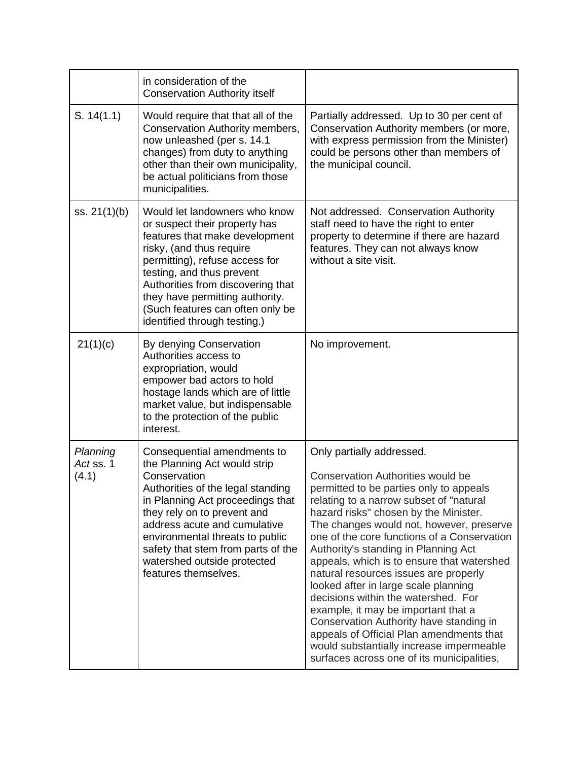|                                | in consideration of the<br><b>Conservation Authority itself</b>                                                                                                                                                                                                                                                                                     |                                                                                                                                                                                                                                                                                                                                                                                                                                                                                                                                                                                                                                                                                                                                       |
|--------------------------------|-----------------------------------------------------------------------------------------------------------------------------------------------------------------------------------------------------------------------------------------------------------------------------------------------------------------------------------------------------|---------------------------------------------------------------------------------------------------------------------------------------------------------------------------------------------------------------------------------------------------------------------------------------------------------------------------------------------------------------------------------------------------------------------------------------------------------------------------------------------------------------------------------------------------------------------------------------------------------------------------------------------------------------------------------------------------------------------------------------|
| S. 14(1.1)                     | Would require that that all of the<br>Conservation Authority members,<br>now unleashed (per s. 14.1<br>changes) from duty to anything<br>other than their own municipality,<br>be actual politicians from those<br>municipalities.                                                                                                                  | Partially addressed. Up to 30 per cent of<br>Conservation Authority members (or more,<br>with express permission from the Minister)<br>could be persons other than members of<br>the municipal council.                                                                                                                                                                                                                                                                                                                                                                                                                                                                                                                               |
| ss. $21(1)(b)$                 | Would let landowners who know<br>or suspect their property has<br>features that make development<br>risky, (and thus require<br>permitting), refuse access for<br>testing, and thus prevent<br>Authorities from discovering that<br>they have permitting authority.<br>(Such features can often only be<br>identified through testing.)             | Not addressed. Conservation Authority<br>staff need to have the right to enter<br>property to determine if there are hazard<br>features. They can not always know<br>without a site visit.                                                                                                                                                                                                                                                                                                                                                                                                                                                                                                                                            |
| 21(1)(c)                       | By denying Conservation<br>Authorities access to<br>expropriation, would<br>empower bad actors to hold<br>hostage lands which are of little<br>market value, but indispensable<br>to the protection of the public<br>interest.                                                                                                                      | No improvement.                                                                                                                                                                                                                                                                                                                                                                                                                                                                                                                                                                                                                                                                                                                       |
| Planning<br>Act ss. 1<br>(4.1) | Consequential amendments to<br>the Planning Act would strip<br>Conservation<br>Authorities of the legal standing<br>in Planning Act proceedings that<br>they rely on to prevent and<br>address acute and cumulative<br>environmental threats to public<br>safety that stem from parts of the<br>watershed outside protected<br>features themselves. | Only partially addressed.<br><b>Conservation Authorities would be</b><br>permitted to be parties only to appeals<br>relating to a narrow subset of "natural<br>hazard risks" chosen by the Minister.<br>The changes would not, however, preserve<br>one of the core functions of a Conservation<br>Authority's standing in Planning Act<br>appeals, which is to ensure that watershed<br>natural resources issues are properly<br>looked after in large scale planning<br>decisions within the watershed. For<br>example, it may be important that a<br>Conservation Authority have standing in<br>appeals of Official Plan amendments that<br>would substantially increase impermeable<br>surfaces across one of its municipalities, |